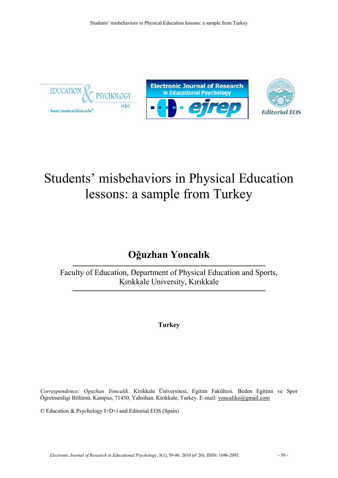





# Students' misbehaviors in Physical Education lessons: a sample from Turkey

## **Oğuzhan Yoncalık**

Faculty of Education, Department of Physical Education and Sports, Kırıkkale University, Kırıkkale

**Turkey**

*Correspondence: Oguzhan Yoncalik*. Kirikkale Üniversitesi, Egitim Fakültesi. Beden Egitimi ve Spor Ögretmenligi Bölümü. Kampus, 71450, Yahsihan. Kirikkale, Turkey. E-mail: [yoncaliko@gmail.com](mailto:yoncaliko@gmail.com)

© Education & Psychology I+D+i and Editorial EOS (Spain)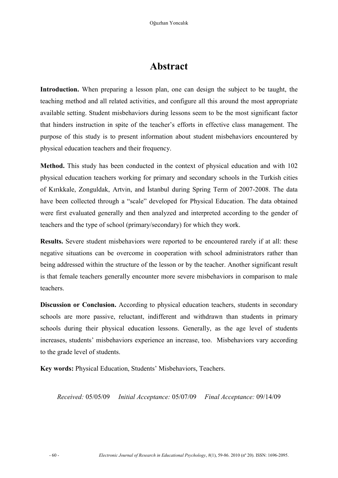### **Abstract**

**Introduction.** When preparing a lesson plan, one can design the subject to be taught, the teaching method and all related activities, and configure all this around the most appropriate available setting. Student misbehaviors during lessons seem to be the most significant factor that hinders instruction in spite of the teacher's efforts in effective class management. The purpose of this study is to present information about student misbehaviors encountered by physical education teachers and their frequency.

**Method.** This study has been conducted in the context of physical education and with 102 physical education teachers working for primary and secondary schools in the Turkish cities of Kırıkkale, Zonguldak, Artvin, and İstanbul during Spring Term of 2007-2008. The data have been collected through a "scale" developed for Physical Education. The data obtained were first evaluated generally and then analyzed and interpreted according to the gender of teachers and the type of school (primary/secondary) for which they work.

**Results.** Severe student misbehaviors were reported to be encountered rarely if at all: these negative situations can be overcome in cooperation with school administrators rather than being addressed within the structure of the lesson or by the teacher. Another significant result is that female teachers generally encounter more severe misbehaviors in comparison to male teachers.

**Discussion or Conclusion.** According to physical education teachers, students in secondary schools are more passive, reluctant, indifferent and withdrawn than students in primary schools during their physical education lessons. Generally, as the age level of students increases, students' misbehaviors experience an increase, too. Misbehaviors vary according to the grade level of students.

**Key words:** Physical Education, Students' Misbehaviors, Teachers.

*Received:* 05/05/09 *Initial Acceptance:* 05/07/09 *Final Acceptance:* 09/14/09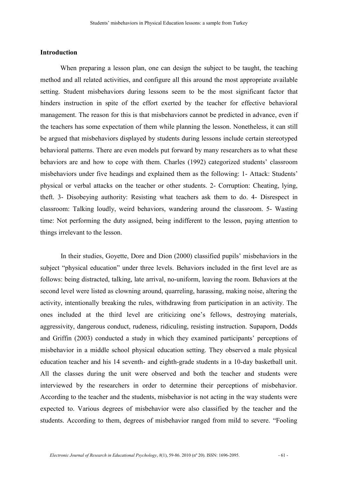#### **Introduction**

When preparing a lesson plan, one can design the subject to be taught, the teaching method and all related activities, and configure all this around the most appropriate available setting. Student misbehaviors during lessons seem to be the most significant factor that hinders instruction in spite of the effort exerted by the teacher for effective behavioral management. The reason for this is that misbehaviors cannot be predicted in advance, even if the teachers has some expectation of them while planning the lesson. Nonetheless, it can still be argued that misbehaviors displayed by students during lessons include certain stereotyped behavioral patterns. There are even models put forward by many researchers as to what these behaviors are and how to cope with them. Charles (1992) categorized students' classroom misbehaviors under five headings and explained them as the following: 1- Attack: Students' physical or verbal attacks on the teacher or other students. 2- Corruption: Cheating, lying, theft. 3- Disobeying authority: Resisting what teachers ask them to do. 4- Disrespect in classroom: Talking loudly, weird behaviors, wandering around the classroom. 5- Wasting time: Not performing the duty assigned, being indifferent to the lesson, paying attention to things irrelevant to the lesson.

In their studies, Goyette, Dore and Dion (2000) classified pupils' misbehaviors in the subject "physical education" under three levels. Behaviors included in the first level are as follows: being distracted, talking, late arrival, no-uniform, leaving the room. Behaviors at the second level were listed as clowning around, quarreling, harassing, making noise, altering the activity, intentionally breaking the rules, withdrawing from participation in an activity. The ones included at the third level are criticizing one's fellows, destroying materials, aggressivity, dangerous conduct, rudeness, ridiculing, resisting instruction. Supaporn, Dodds and Griffin (2003) conducted a study in which they examined participants' perceptions of misbehavior in a middle school physical education setting. They observed a male physical education teacher and his 14 seventh- and eighth-grade students in a 10-day basketball unit. All the classes during the unit were observed and both the teacher and students were interviewed by the researchers in order to determine their perceptions of misbehavior. According to the teacher and the students, misbehavior is not acting in the way students were expected to. Various degrees of misbehavior were also classified by the teacher and the students. According to them, degrees of misbehavior ranged from mild to severe. "Fooling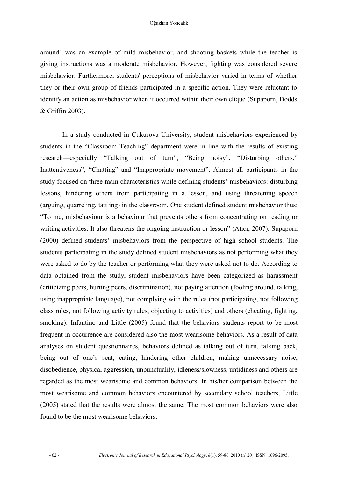around" was an example of mild misbehavior, and shooting baskets while the teacher is giving instructions was a moderate misbehavior. However, fighting was considered severe misbehavior. Furthermore, students' perceptions of misbehavior varied in terms of whether they or their own group of friends participated in a specific action. They were reluctant to identify an action as misbehavior when it occurred within their own clique (Supaporn, Dodds & Griffin 2003).

In a study conducted in Çukurova University, student misbehaviors experienced by students in the "Classroom Teaching" department were in line with the results of existing research—especially "Talking out of turn", "Being noisy", "Disturbing others," Inattentiveness", "Chatting" and "Inappropriate movement". Almost all participants in the study focused on three main characteristics while defining students' misbehaviors: disturbing lessons, hindering others from participating in a lesson, and using threatening speech (arguing, quarreling, tattling) in the classroom. One student defined student misbehavior thus: "To me, misbehaviour is a behaviour that prevents others from concentrating on reading or writing activities. It also threatens the ongoing instruction or lesson" (Atıcı, 2007). Supaporn (2000) defined students' misbehaviors from the perspective of high school students. The students participating in the study defined student misbehaviors as not performing what they were asked to do by the teacher or performing what they were asked not to do. According to data obtained from the study, student misbehaviors have been categorized as harassment (criticizing peers, hurting peers, discrimination), not paying attention (fooling around, talking, using inappropriate language), not complying with the rules (not participating, not following class rules, not following activity rules, objecting to activities) and others (cheating, fighting, smoking). Infantino and Little (2005) found that the behaviors students report to be most frequent in occurrence are considered also the most wearisome behaviors. As a result of data analyses on student questionnaires, behaviors defined as talking out of turn, talking back, being out of one's seat, eating, hindering other children, making unnecessary noise, disobedience, physical aggression, unpunctuality, idleness/slowness, untidiness and others are regarded as the most wearisome and common behaviors. In his/her comparison between the most wearisome and common behaviors encountered by secondary school teachers, Little (2005) stated that the results were almost the same. The most common behaviors were also found to be the most wearisome behaviors.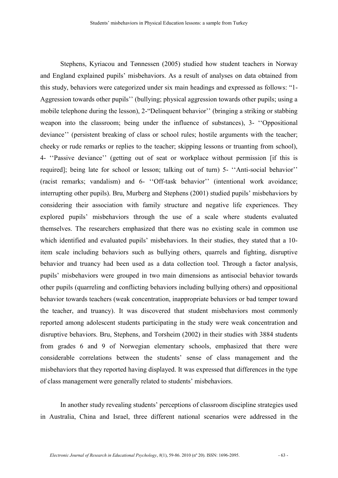Stephens, Kyriacou and Tønnessen (2005) studied how student teachers in Norway and England explained pupils' misbehaviors. As a result of analyses on data obtained from this study, behaviors were categorized under six main headings and expressed as follows: "1- Aggression towards other pupils'' (bullying; physical aggression towards other pupils; using a mobile telephone during the lesson), 2-"Delinquent behavior'' (bringing a striking or stabbing weapon into the classroom; being under the influence of substances), 3- ''Oppositional deviance'' (persistent breaking of class or school rules; hostile arguments with the teacher; cheeky or rude remarks or replies to the teacher; skipping lessons or truanting from school), 4- ''Passive deviance'' (getting out of seat or workplace without permission [if this is required]; being late for school or lesson; talking out of turn) 5- ''Anti-social behavior'' (racist remarks; vandalism) and 6- ''Off-task behavior'' (intentional work avoidance; interrupting other pupils). Bru, Murberg and Stephens (2001) studied pupils' misbehaviors by considering their association with family structure and negative life experiences. They explored pupils' misbehaviors through the use of a scale where students evaluated themselves. The researchers emphasized that there was no existing scale in common use which identified and evaluated pupils' misbehaviors. In their studies, they stated that a 10 item scale including behaviors such as bullying others, quarrels and fighting, disruptive behavior and truancy had been used as a data collection tool. Through a factor analysis, pupils' misbehaviors were grouped in two main dimensions as antisocial behavior towards other pupils (quarreling and conflicting behaviors including bullying others) and oppositional behavior towards teachers (weak concentration, inappropriate behaviors or bad temper toward the teacher, and truancy). It was discovered that student misbehaviors most commonly reported among adolescent students participating in the study were weak concentration and disruptive behaviors. Bru, Stephens, and Torsheim (2002) in their studies with 3884 students from grades 6 and 9 of Norwegian elementary schools, emphasized that there were considerable correlations between the students' sense of class management and the misbehaviors that they reported having displayed. It was expressed that differences in the type of class management were generally related to students' misbehaviors.

In another study revealing students' perceptions of classroom discipline strategies used in Australia, China and Israel, three different national scenarios were addressed in the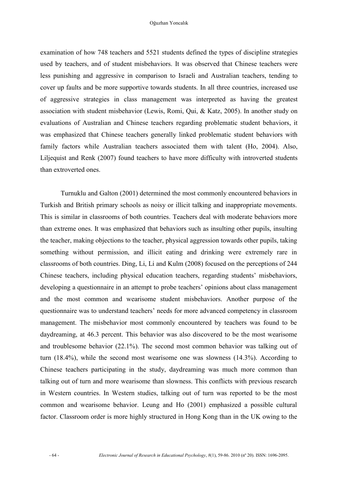examination of how 748 teachers and 5521 students defined the types of discipline strategies used by teachers, and of student misbehaviors. It was observed that Chinese teachers were less punishing and aggressive in comparison to Israeli and Australian teachers, tending to cover up faults and be more supportive towards students. In all three countries, increased use of aggressive strategies in class management was interpreted as having the greatest association with student misbehavior (Lewis, Romi, Qui, & Katz, 2005). In another study on evaluations of Australian and Chinese teachers regarding problematic student behaviors, it was emphasized that Chinese teachers generally linked problematic student behaviors with family factors while Australian teachers associated them with talent (Ho, 2004). Also, Liljequist and Renk (2007) found teachers to have more difficulty with introverted students than extroverted ones.

Turnuklu and Galton (2001) determined the most commonly encountered behaviors in Turkish and British primary schools as noisy or illicit talking and inappropriate movements. This is similar in classrooms of both countries. Teachers deal with moderate behaviors more than extreme ones. It was emphasized that behaviors such as insulting other pupils, insulting the teacher, making objections to the teacher, physical aggression towards other pupils, taking something without permission, and illicit eating and drinking were extremely rare in classrooms of both countries. Ding, Li, Li and Kulm (2008) focused on the perceptions of 244 Chinese teachers, including physical education teachers, regarding students' misbehaviors, developing a questionnaire in an attempt to probe teachers' opinions about class management and the most common and wearisome student misbehaviors. Another purpose of the questionnaire was to understand teachers' needs for more advanced competency in classroom management. The misbehavior most commonly encountered by teachers was found to be daydreaming, at 46.3 percent. This behavior was also discovered to be the most wearisome and troublesome behavior (22.1%). The second most common behavior was talking out of turn (18.4%), while the second most wearisome one was slowness (14.3%). According to Chinese teachers participating in the study, daydreaming was much more common than talking out of turn and more wearisome than slowness. This conflicts with previous research in Western countries. In Western studies, talking out of turn was reported to be the most common and wearisome behavior. Leung and Ho (2001) emphasized a possible cultural factor. Classroom order is more highly structured in Hong Kong than in the UK owing to the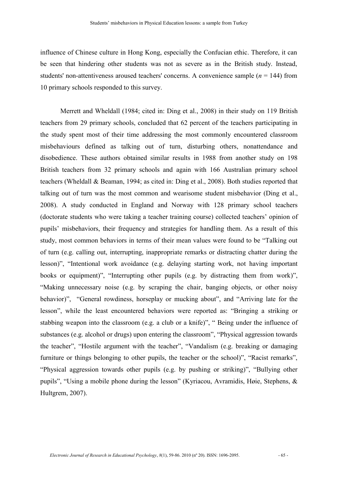influence of Chinese culture in Hong Kong, especially the Confucian ethic. Therefore, it can be seen that hindering other students was not as severe as in the British study. Instead, students' non-attentiveness aroused teachers' concerns. A convenience sample (*n* = 144) from 10 primary schools responded to this survey.

Merrett and Wheldall (1984; cited in: Ding et al., 2008) in their study on 119 British teachers from 29 primary schools, concluded that 62 percent of the teachers participating in the study spent most of their time addressing the most commonly encountered classroom misbehaviours defined as talking out of turn, disturbing others, nonattendance and disobedience. These authors obtained similar results in 1988 from another study on 198 British teachers from 32 primary schools and again with 166 Australian primary school teachers (Wheldall & Beaman, 1994; as cited in: Ding et al., 2008). Both studies reported that talking out of turn was the most common and wearisome student misbehavior (Ding et al., 2008). A study conducted in England and Norway with 128 primary school teachers (doctorate students who were taking a teacher training course) collected teachers' opinion of pupils' misbehaviors, their frequency and strategies for handling them. As a result of this study, most common behaviors in terms of their mean values were found to be "Talking out of turn (e.g. calling out, interrupting, inappropriate remarks or distracting chatter during the lesson)", "Intentional work avoidance (e.g. delaying starting work, not having important books or equipment)", "Interrupting other pupils (e.g. by distracting them from work)", "Making unnecessary noise (e.g. by scraping the chair, banging objects, or other noisy behavior)", "General rowdiness, horseplay or mucking about", and "Arriving late for the lesson", while the least encountered behaviors were reported as: "Bringing a striking or stabbing weapon into the classroom (e.g. a club or a knife)", " Being under the influence of substances (e.g. alcohol or drugs) upon entering the classroom", "Physical aggression towards the teacher", "Hostile argument with the teacher", "Vandalism (e.g. breaking or damaging furniture or things belonging to other pupils, the teacher or the school)", "Racist remarks", "Physical aggression towards other pupils (e.g. by pushing or striking)", "Bullying other pupils", "Using a mobile phone during the lesson" (Kyriacou, Avramidis, Høie, Stephens, & Hultgrem, 2007).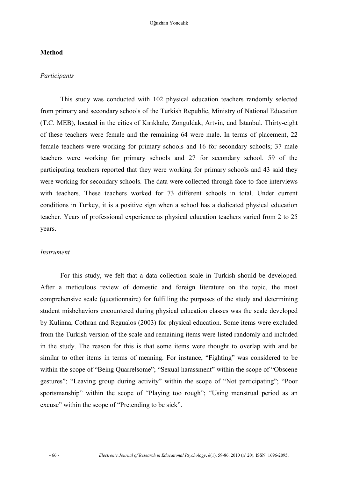#### **Method**

#### *Participants*

This study was conducted with 102 physical education teachers randomly selected from primary and secondary schools of the Turkish Republic, Ministry of National Education (T.C. MEB), located in the cities of Kırıkkale, Zonguldak, Artvin, and İstanbul. Thirty-eight of these teachers were female and the remaining 64 were male. In terms of placement, 22 female teachers were working for primary schools and 16 for secondary schools; 37 male teachers were working for primary schools and 27 for secondary school. 59 of the participating teachers reported that they were working for primary schools and 43 said they were working for secondary schools. The data were collected through face-to-face interviews with teachers. These teachers worked for 73 different schools in total. Under current conditions in Turkey, it is a positive sign when a school has a dedicated physical education teacher. Years of professional experience as physical education teachers varied from 2 to 25 years.

#### *Instrument*

For this study, we felt that a data collection scale in Turkish should be developed. After a meticulous review of domestic and foreign literature on the topic, the most comprehensive scale (questionnaire) for fulfilling the purposes of the study and determining student misbehaviors encountered during physical education classes was the scale developed by Kulinna, Cothran and Regualos (2003) for physical education. Some items were excluded from the Turkish version of the scale and remaining items were listed randomly and included in the study. The reason for this is that some items were thought to overlap with and be similar to other items in terms of meaning. For instance, "Fighting" was considered to be within the scope of "Being Quarrelsome"; "Sexual harassment" within the scope of "Obscene gestures"; "Leaving group during activity" within the scope of "Not participating"; "Poor sportsmanship" within the scope of "Playing too rough"; "Using menstrual period as an excuse" within the scope of "Pretending to be sick".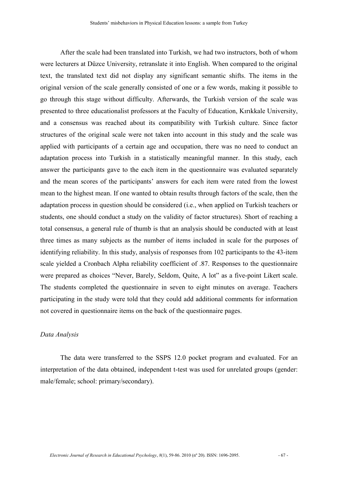After the scale had been translated into Turkish, we had two instructors, both of whom were lecturers at Düzce University, retranslate it into English. When compared to the original text, the translated text did not display any significant semantic shifts. The items in the original version of the scale generally consisted of one or a few words, making it possible to go through this stage without difficulty. Afterwards, the Turkish version of the scale was presented to three educationalist professors at the Faculty of Education, Kırıkkale University, and a consensus was reached about its compatibility with Turkish culture. Since factor structures of the original scale were not taken into account in this study and the scale was applied with participants of a certain age and occupation, there was no need to conduct an adaptation process into Turkish in a statistically meaningful manner. In this study, each answer the participants gave to the each item in the questionnaire was evaluated separately and the mean scores of the participants' answers for each item were rated from the lowest mean to the highest mean. If one wanted to obtain results through factors of the scale, then the adaptation process in question should be considered (i.e., when applied on Turkish teachers or students, one should conduct a study on the validity of factor structures). Short of reaching a total consensus, a general rule of thumb is that an analysis should be conducted with at least three times as many subjects as the number of items included in scale for the purposes of identifying reliability. In this study, analysis of responses from 102 participants to the 43-item scale yielded a Cronbach Alpha reliability coefficient of .87. Responses to the questionnaire were prepared as choices "Never, Barely, Seldom, Quite, A lot" as a five-point Likert scale. The students completed the questionnaire in seven to eight minutes on average. Teachers participating in the study were told that they could add additional comments for information not covered in questionnaire items on the back of the questionnaire pages.

#### *Data Analysis*

The data were transferred to the SSPS 12.0 pocket program and evaluated. For an interpretation of the data obtained, independent t-test was used for unrelated groups (gender: male/female; school: primary/secondary).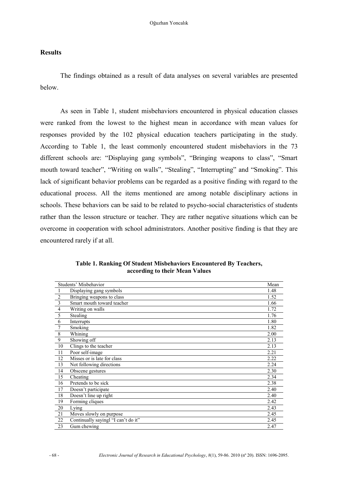#### **Results**

The findings obtained as a result of data analyses on several variables are presented below.

As seen in Table 1, student misbehaviors encountered in physical education classes were ranked from the lowest to the highest mean in accordance with mean values for responses provided by the 102 physical education teachers participating in the study. According to Table 1, the least commonly encountered student misbehaviors in the 73 different schools are: "Displaying gang symbols", "Bringing weapons to class", "Smart mouth toward teacher", "Writing on walls", "Stealing", "Interrupting" and "Smoking". This lack of significant behavior problems can be regarded as a positive finding with regard to the educational process. All the items mentioned are among notable disciplinary actions in schools. These behaviors can be said to be related to psycho-social characteristics of students rather than the lesson structure or teacher. They are rather negative situations which can be overcome in cooperation with school administrators. Another positive finding is that they are encountered rarely if at all.

|                 | Students' Misbehavior               |      |  |  |  |  |
|-----------------|-------------------------------------|------|--|--|--|--|
| 1               | Displaying gang symbols             | 1.48 |  |  |  |  |
| $\overline{2}$  | Bringing weapons to class           | 1.52 |  |  |  |  |
| $\overline{3}$  | Smart mouth toward teacher          | 1.66 |  |  |  |  |
| $\overline{4}$  | Writing on walls                    | 1.72 |  |  |  |  |
| 5               | <b>Stealing</b>                     | 1.76 |  |  |  |  |
| 6               | Interrupts                          | 1.80 |  |  |  |  |
| 7               | Smoking                             | 1.82 |  |  |  |  |
| 8               | Whining                             | 2.00 |  |  |  |  |
| 9               | Showing off                         | 2.13 |  |  |  |  |
| 10              | Clings to the teacher               | 2.13 |  |  |  |  |
| 11              | Poor self-image                     | 2.21 |  |  |  |  |
| 12              | Misses or is late for class         | 2.22 |  |  |  |  |
| 13              | Not following directions            | 2.24 |  |  |  |  |
| 14              | Obscene gestures                    | 2.30 |  |  |  |  |
| 15              | Cheating                            | 2.34 |  |  |  |  |
| 16              | Pretends to be sick                 | 2.38 |  |  |  |  |
| 17              | Doesn't participate                 | 2.40 |  |  |  |  |
| 18              | Doesn't line up right               | 2.40 |  |  |  |  |
| 19              | Forming cliques                     | 2.42 |  |  |  |  |
| 20              | Lying                               | 2.43 |  |  |  |  |
| 21              | Moves slowly on purpose             | 2.45 |  |  |  |  |
| $\overline{22}$ | Continually sayingl "I can't do it" | 2.45 |  |  |  |  |
| 23              | Gum chewing                         | 2.47 |  |  |  |  |

**Table 1. Ranking Of Student Misbehaviors Encountered By Teachers, according to their Mean Values**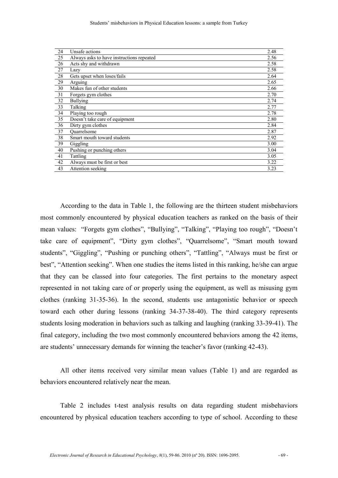| 24 | Unsafe actions                            | 2.48 |
|----|-------------------------------------------|------|
| 25 | Always asks to have instructions repeated | 2.56 |
| 26 | Acts shy and withdrawn                    | 2.58 |
| 27 | Lazy                                      | 2.58 |
| 28 | Gets upset when loses/fails               | 2.64 |
| 29 | Arguing                                   | 2.65 |
| 30 | Makes fun of other students               | 2.66 |
| 31 | Forgets gym clothes                       | 2.70 |
| 32 | <b>Bullying</b>                           | 2.74 |
| 33 | Talking                                   | 2.77 |
| 34 | Playing too rough                         | 2.78 |
| 35 | Doesn't take care of equipment            | 2.80 |
| 36 | Dirty gym clothes                         | 2.84 |
| 37 | Quarrelsome                               | 2.87 |
| 38 | Smart mouth toward students               | 2.92 |
| 39 | Giggling                                  | 3.00 |
| 40 | Pushing or punching others                | 3.04 |
| 41 | Tattling                                  | 3.05 |
| 42 | Always must be first or best              | 3.22 |
| 43 | Attention seeking                         | 3.23 |

According to the data in Table 1, the following are the thirteen student misbehaviors most commonly encountered by physical education teachers as ranked on the basis of their mean values: "Forgets gym clothes", "Bullying", "Talking", "Playing too rough", "Doesn't take care of equipment", "Dirty gym clothes", "Quarrelsome", "Smart mouth toward students", "Giggling", "Pushing or punching others", "Tattling", "Always must be first or best", "Attention seeking". When one studies the items listed in this ranking, he/she can argue that they can be classed into four categories. The first pertains to the monetary aspect represented in not taking care of or properly using the equipment, as well as misusing gym clothes (ranking 31-35-36). In the second, students use antagonistic behavior or speech toward each other during lessons (ranking 34-37-38-40). The third category represents students losing moderation in behaviors such as talking and laughing (ranking 33-39-41). The final category, including the two most commonly encountered behaviors among the 42 items, are students' unnecessary demands for winning the teacher's favor (ranking 42-43).

All other items received very similar mean values (Table 1) and are regarded as behaviors encountered relatively near the mean.

Table 2 includes t-test analysis results on data regarding student misbehaviors encountered by physical education teachers according to type of school. According to these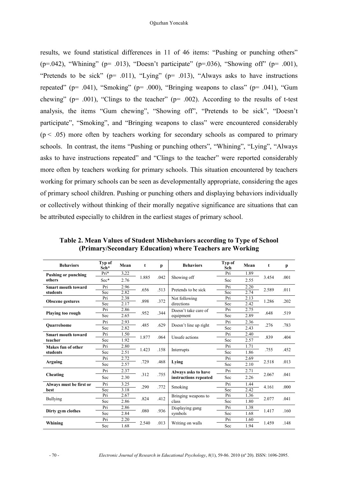results, we found statistical differences in 11 of 46 items: "Pushing or punching others" (p=.042), "Whining" (p= .013), "Doesn't participate" (p=.036), "Showing off" (p= .001), "Pretends to be sick" ( $p = .011$ ), "Lying" ( $p = .013$ ), "Always asks to have instructions repeated" (p=  $.041$ ), "Smoking" (p=  $.000$ ), "Bringing weapons to class" (p=  $.041$ ), "Gum chewing" ( $p=$  .001), "Clings to the teacher" ( $p=$  .002). According to the results of t-test analysis, the items "Gum chewing", "Showing off", "Pretends to be sick", "Doesn't participate", "Smoking", and "Bringing weapons to class" were encountered considerably  $(p < .05)$  more often by teachers working for secondary schools as compared to primary schools. In contrast, the items "Pushing or punching others", "Whining", "Lying", "Always asks to have instructions repeated" and "Clings to the teacher" were reported considerably more often by teachers working for primary schools. This situation encountered by teachers working for primary schools can be seen as developmentally appropriate, considering the ages of primary school children. Pushing or punching others and displaying behaviors individually or collectively without thinking of their morally negative significance are situations that can be attributed especially to children in the earliest stages of primary school.

| <b>Behaviors</b>           | Typ of<br>Sch* | Mean | t     | р    | <b>Behaviors</b>                             | Typ of<br>Sch | Mean | t     | p    |
|----------------------------|----------------|------|-------|------|----------------------------------------------|---------------|------|-------|------|
| <b>Pushing or punching</b> | $Pri*$         | 3.22 |       | .042 | Showing off                                  | Pri           | 1.89 | 3.454 | .001 |
| others                     | Sec*           | 2.76 | 1.885 |      |                                              | Sec           | 2.55 |       |      |
| <b>Smart mouth toward</b>  | Pri            | 2.96 | .656  | .513 | Pretends to be sick                          | Pri           | 2.20 | 2.589 | .011 |
| students                   | Sec            | 2.82 |       |      |                                              | Sec           | 2.74 |       |      |
|                            | Pri            | 2.38 | .898  | .372 | Not following<br>directions                  | Pri           | 2.13 | 1.286 | .202 |
| <b>Obscene gestures</b>    | Sec            | 2.17 |       |      |                                              | Sec           | 2.42 |       |      |
|                            | Pri            | 2.86 |       |      | Doesn't take care of                         | Pri           | 2.75 | .648  |      |
| <b>Playing too rough</b>   | Sec            | 2.65 | .952  | .344 | equipment                                    | Sec           | 2.89 |       | .519 |
|                            | Pri            | 2.93 |       | .629 | Doesn't line up right                        | Pri           | 2.36 | .276  | .783 |
| <b>Ouarrelsome</b>         | Sec            | 2.82 | .485  |      |                                              | Sec           | 2.43 |       |      |
| <b>Smart mouth toward</b>  | Pri            | 1.50 | 1.877 | .064 | Unsafe actions                               | Pri           | 2.40 | .839  | .404 |
| teacher                    | Sec            | 1.92 |       |      |                                              | Sec           | 2.57 |       |      |
| Makes fun of other         | Pri            | 2.80 | 1.423 | .158 | Interrupts                                   | Pri           | 1.71 | .755  | .452 |
| students                   | Sec            | 2.51 |       |      |                                              | Sec           | 1.86 |       |      |
|                            | Pri            | 2.72 |       |      | Lying                                        | Pri           | 2.69 | 2.518 | .013 |
| Arguing                    | Sec            | 2.57 | .729  | .468 |                                              | Sec           | 2.10 |       |      |
|                            | Pri            | 2.37 |       | .755 | Always asks to have<br>instructions repeated | Pri           | 2.71 | 2.067 | .041 |
| Cheating                   | Sec            | 2.30 | .312  |      |                                              | Sec           | 2.26 |       |      |
| Always must be first or    | Pri            | 3.25 |       | .772 | Smoking                                      | Pri           | 1.44 | 4.161 | .000 |
| best                       | Sec            | 3.18 | .290  |      |                                              | Sec           | 2.42 |       |      |
|                            | Pri            | 2.67 |       |      | Bringing weapons to<br>class                 | Pri           | 1.36 | 2.077 | .041 |
| <b>Bullying</b>            | Sec            | 2.86 | .824  | .412 |                                              | Sec           | 1.80 |       |      |
|                            | Pri            | 2.86 |       |      | Displaying gang                              | Pri           | 1.38 | 1.417 | .160 |
| Dirty gym clothes          | Sec            | 2.84 | .080  | .936 | symbols                                      | Sec           | 1.68 |       |      |
|                            | Pri            | 2.20 |       |      |                                              | Pri           | 1.60 |       | .148 |
| Whining                    | Sec            | 1.68 | 2.540 | .013 | Writing on walls                             | Sec           | 1.94 | 1.459 |      |

**Table 2. Mean Values of Student Misbehaviors according to Type of School (Primary/Secondary Education) where Teachers are Working**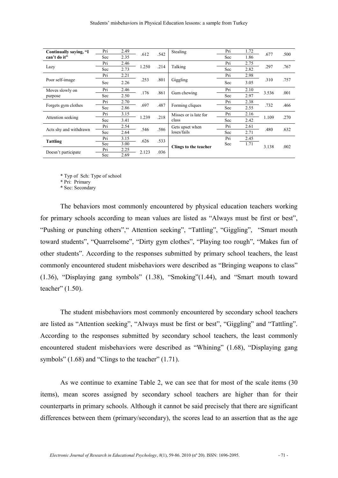| Continually saying, "I | Pri | 2.49 | .612  | .542 | Stealing                       | Pri | 1.72 |       | .500 |
|------------------------|-----|------|-------|------|--------------------------------|-----|------|-------|------|
| can't do it"           | Sec | 2.35 |       |      |                                | Sec | 1.86 | .677  |      |
|                        | Pri | 2.46 | 1.250 | .214 | Talking                        | Pri | 2.75 | .297  | .767 |
| Lazy                   | Sec | 2.73 |       |      |                                | Sec | 2.82 |       |      |
|                        | Pri | 2.21 |       | .801 | Giggling                       | Pri | 2.98 | .310  | .757 |
| Poor self-image        | Sec | 2.26 | .253  |      |                                | Sec | 3.05 |       |      |
| Moves slowly on        | Pri | 2.46 | .176  | .861 | Gum chewing                    | Pri | 2.10 | 3.536 | .001 |
| purpose                | Sec | 2.50 |       |      |                                | Sec | 2.97 |       |      |
|                        | Pri | 2.70 | .697  | .487 | Forming cliques                | Pri | 2.38 | .732  | .466 |
| Forgets gym clothes    | Sec | 2.86 |       |      |                                | Sec | 2.55 |       |      |
|                        | Pri | 3.15 | 1.239 | .218 | Misses or is late for<br>class | Pri | 2.16 | 1.109 | .270 |
| Attention seeking      | Sec | 3.41 |       |      |                                | Sec | 2.42 |       |      |
| Acts shy and withdrawn | Pri | 2.54 | .546  | .586 | Gets upset when<br>loses/fails | Pri | 2.61 | .480  | .632 |
|                        | Sec | 2.64 |       |      |                                | Sec | 2.71 |       |      |
| Tattling               | Pri | 3.15 | .626  | .533 | Clings to the teacher          | Pri | 2.45 |       |      |
|                        | Sec | 3.00 |       |      |                                | Sec | 1.71 | 3.138 | .002 |
| Doesn't participate    | Pri | 2.25 | 2.123 | .036 |                                |     |      |       |      |
|                        | Sec | 2.69 |       |      |                                |     |      |       |      |

\* Typ of Sch: Type of school

\* Pri: Primary

\* Sec: Secondary

The behaviors most commonly encountered by physical education teachers working for primary schools according to mean values are listed as "Always must be first or best", "Pushing or punching others"," Attention seeking", "Tattling", "Giggling", "Smart mouth toward students", "Quarrelsome", "Dirty gym clothes", "Playing too rough", "Makes fun of other students". According to the responses submitted by primary school teachers, the least commonly encountered student misbehaviors were described as "Bringing weapons to class" (1.36), "Displaying gang symbols" (1.38), "Smoking"(1.44), and "Smart mouth toward teacher" (1.50).

The student misbehaviors most commonly encountered by secondary school teachers are listed as "Attention seeking", "Always must be first or best", "Giggling" and "Tattling". According to the responses submitted by secondary school teachers, the least commonly encountered student misbehaviors were described as "Whining" (1.68), "Displaying gang symbols" (1.68) and "Clings to the teacher" (1.71).

As we continue to examine Table 2, we can see that for most of the scale items (30 items), mean scores assigned by secondary school teachers are higher than for their counterparts in primary schools. Although it cannot be said precisely that there are significant differences between them (primary/secondary), the scores lead to an assertion that as the age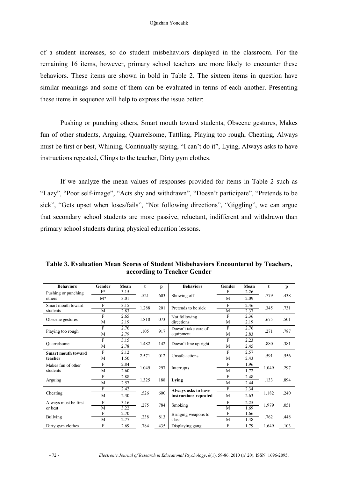of a student increases, so do student misbehaviors displayed in the classroom. For the remaining 16 items, however, primary school teachers are more likely to encounter these behaviors. These items are shown in bold in Table 2. The sixteen items in question have similar meanings and some of them can be evaluated in terms of each another. Presenting these items in sequence will help to express the issue better:

Pushing or punching others, Smart mouth toward students, Obscene gestures, Makes fun of other students, Arguing, Quarrelsome, Tattling, Playing too rough, Cheating, Always must be first or best, Whining, Continually saying, "I can't do it", Lying, Always asks to have instructions repeated, Clings to the teacher, Dirty gym clothes.

If we analyze the mean values of responses provided for items in Table 2 such as "Lazy", "Poor self-image", "Acts shy and withdrawn", "Doesn't participate", "Pretends to be sick", "Gets upset when loses/fails", "Not following directions", "Giggling", we can argue that secondary school students are more passive, reluctant, indifferent and withdrawn than primary school students during physical education lessons.

| <b>Behaviors</b>          | Gender | Mean | t     | D    | <b>Behaviors</b>                             | Gender | Mean | t     | D    |
|---------------------------|--------|------|-------|------|----------------------------------------------|--------|------|-------|------|
| Pushing or punching       | $F^*$  | 3.15 |       |      | Showing off                                  | F      | 2.26 |       |      |
| others                    | $M^*$  | 3.01 | .521  | .603 |                                              | M      | 2.09 | .779  | .438 |
| Smart mouth toward        | F      | 3.15 | 1.288 |      | .201<br>Pretends to be sick                  | F      | 2.46 | .345  | .731 |
| students                  | M      | 2.83 |       |      |                                              | M      | 2.37 |       |      |
|                           | F      | 2.65 | 1.810 | .073 | Not following                                | F      | 2.36 | .675  | .501 |
| Obscene gestures          | M      | 2.19 |       |      | directions                                   | M      | 2.19 |       |      |
|                           | F      | 2.76 |       |      | Doesn't take care of                         | F      | 2.76 | .271  |      |
| Playing too rough         | M      | 2.79 | .105  | .917 | equipment                                    | M      | 2.83 |       | .787 |
|                           | F      | 3.15 |       | .142 | Doesn't line up right                        | F      | 2.23 | .880  |      |
| Ouarrelsome               | M      | 2.78 | 1.482 |      |                                              | M      | 2.45 |       | .381 |
| <b>Smart mouth toward</b> | F      | 2.12 | 2.571 | .012 | Unsafe actions                               | F      | 2.57 | .591  |      |
| teacher                   | M      | 1.50 |       |      |                                              | M      | 2.43 |       | .556 |
| Makes fun of other        | F      | 2.84 |       |      |                                              | F      | 1.96 | 1.049 |      |
| students                  | M      | 2.60 | 1.049 | .297 | Interrupts                                   | M      | 1.72 |       | .297 |
|                           | F      | 2.88 |       |      |                                              | F      | 2.48 | .133  |      |
| Arguing                   | M      | 2.57 | 1.325 | .188 | Lying                                        | M      | 2.44 |       | .894 |
|                           | F      | 2.42 |       | .600 | Always asks to have<br>instructions repeated | F      | 2.34 | 1.182 |      |
| Cheating                  | M      | 2.30 | .526  |      |                                              | M      | 2.63 |       | .240 |
| Always must be first      | F      | 3.16 | .275  | .784 | Smoking                                      | F      | 2.25 | 1.979 | .051 |
| or best                   | M      | 3.22 |       |      |                                              | M      | 1.69 |       |      |
|                           | F      | 2.70 |       | .813 | Bringing weapons to<br>class                 | F      | 1.66 |       | .448 |
| <b>Bullying</b>           | M      | 2.77 | .238  |      |                                              | M      | 1.48 | .762  |      |
| Dirty gym clothes         | F      | 2.69 | .784  | .435 | Displaying gang                              | F      | 1.79 | 1.649 | .103 |

**Table 3. Evaluation Mean Scores of Student Misbehaviors Encountered by Teachers, according to Teacher Gender**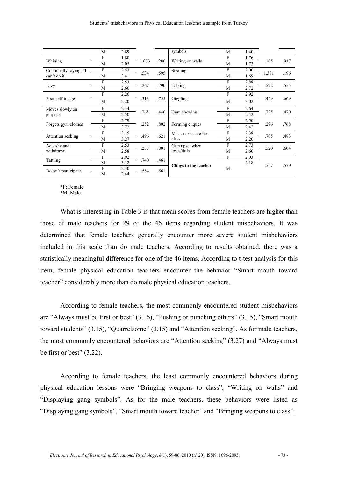|                        | M | 2.89 |       |      | symbols                         | M | 1.40 |       |      |
|------------------------|---|------|-------|------|---------------------------------|---|------|-------|------|
|                        | F | 1.80 | 1.073 | .286 | Writing on walls                | F | 1.76 | .105  | .917 |
| Whining                | M | 2.05 |       |      |                                 | M | 1.73 |       |      |
| Continually saying, "I | F | 2.53 |       | .595 | Stealing                        | F | 2.00 | 1.301 |      |
| can't do it"           | M | 2.41 | .534  |      |                                 | M | 1.69 |       | .196 |
|                        | F | 2.53 |       | .790 |                                 | F | 2.88 | .592  | .555 |
| Lazy                   | M | 2.60 | .267  |      | Talking                         | M | 2.72 |       |      |
|                        | F | 2.26 |       | .755 |                                 | F | 2.92 | .429  | .669 |
| Poor self-image        | M | 2.20 | .313  |      | Giggling                        | M | 3.02 |       |      |
| Moves slowly on        | F | 2.34 | .765  | .446 | Gum chewing                     | F | 2.64 | .725  | .470 |
| purpose                | M | 2.50 |       |      |                                 | M | 2.42 |       |      |
|                        | F | 2.79 | .252  | .802 | Forming cliques                 | F | 2.50 | .296  | .768 |
| Forgets gym clothes    | M | 2.72 |       |      |                                 | M | 2.42 |       |      |
|                        | F | 3.15 | .496  | .621 | Misses or is late for<br>class  | F | 2.38 | .705  | .483 |
| Attention seeking      | M | 3.27 |       |      |                                 | M | 2.20 |       |      |
| Acts shy and           | F | 2.53 |       |      | Gets upset when<br>loses/fails  | F | 2.73 | .520  | .604 |
| withdrawn              | M | 2.58 | .253  | .801 |                                 | M | 2.60 |       |      |
| Tattling               | F | 2.92 | .740  | .461 | F<br>Clings to the teacher<br>M |   | 2.03 |       |      |
|                        | M | 3.12 |       |      |                                 |   | 2.18 | .557  | .579 |
| Doesn't participate    | F | 2.30 | .584  | .561 |                                 |   |      |       |      |
|                        | M | 2.44 |       |      |                                 |   |      |       |      |

\*F: Female

\*M: Male

What is interesting in Table 3 is that mean scores from female teachers are higher than those of male teachers for 29 of the 46 items regarding student misbehaviors. It was determined that female teachers generally encounter more severe student misbehaviors included in this scale than do male teachers. According to results obtained, there was a statistically meaningful difference for one of the 46 items. According to t-test analysis for this item, female physical education teachers encounter the behavior "Smart mouth toward teacher" considerably more than do male physical education teachers.

According to female teachers, the most commonly encountered student misbehaviors are "Always must be first or best" (3.16), "Pushing or punching others" (3.15), "Smart mouth toward students" (3.15), "Quarrelsome" (3.15) and "Attention seeking". As for male teachers, the most commonly encountered behaviors are "Attention seeking" (3.27) and "Always must be first or best" (3.22).

According to female teachers, the least commonly encountered behaviors during physical education lessons were "Bringing weapons to class", "Writing on walls" and "Displaying gang symbols". As for the male teachers, these behaviors were listed as "Displaying gang symbols", "Smart mouth toward teacher" and "Bringing weapons to class".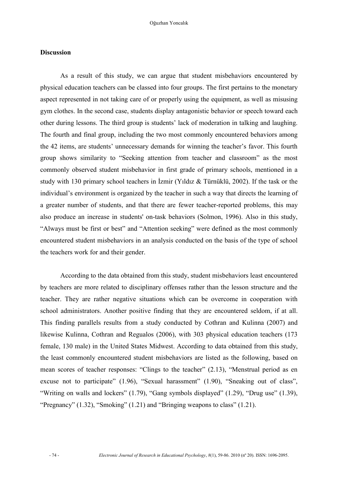#### **Discussion**

As a result of this study, we can argue that student misbehaviors encountered by physical education teachers can be classed into four groups. The first pertains to the monetary aspect represented in not taking care of or properly using the equipment, as well as misusing gym clothes. In the second case, students display antagonistic behavior or speech toward each other during lessons. The third group is students' lack of moderation in talking and laughing. The fourth and final group, including the two most commonly encountered behaviors among the 42 items, are students' unnecessary demands for winning the teacher's favor. This fourth group shows similarity to "Seeking attention from teacher and classroom" as the most commonly observed student misbehavior in first grade of primary schools, mentioned in a study with 130 primary school teachers in İzmir (Yıldız & Türnüklü, 2002). If the task or the individual's environment is organized by the teacher in such a way that directs the learning of a greater number of students, and that there are fewer teacher-reported problems, this may also produce an increase in students' on-task behaviors (Solmon, 1996). Also in this study, "Always must be first or best" and "Attention seeking" were defined as the most commonly encountered student misbehaviors in an analysis conducted on the basis of the type of school the teachers work for and their gender.

According to the data obtained from this study, student misbehaviors least encountered by teachers are more related to disciplinary offenses rather than the lesson structure and the teacher. They are rather negative situations which can be overcome in cooperation with school administrators. Another positive finding that they are encountered seldom, if at all. This finding parallels results from a study conducted by Cothran and Kulinna (2007) and likewise Kulinna, Cothran and Regualos (2006), with 303 physical education teachers (173 female, 130 male) in the United States Midwest. According to data obtained from this study, the least commonly encountered student misbehaviors are listed as the following, based on mean scores of teacher responses: "Clings to the teacher" (2.13), "Menstrual period as en excuse not to participate" (1.96), "Sexual harassment" (1.90), "Sneaking out of class", "Writing on walls and lockers" (1.79), "Gang symbols displayed" (1.29), "Drug use" (1.39), "Pregnancy" (1.32), "Smoking" (1.21) and "Bringing weapons to class" (1.21).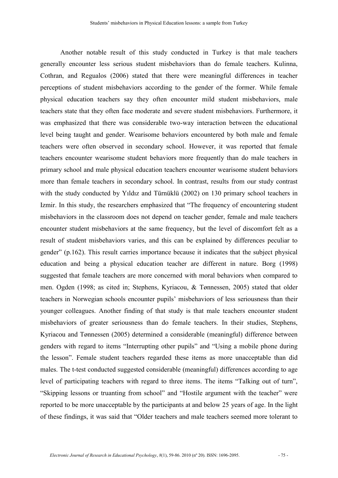Another notable result of this study conducted in Turkey is that male teachers generally encounter less serious student misbehaviors than do female teachers. Kulinna, Cothran, and Regualos (2006) stated that there were meaningful differences in teacher perceptions of student misbehaviors according to the gender of the former. While female physical education teachers say they often encounter mild student misbehaviors, male teachers state that they often face moderate and severe student misbehaviors. Furthermore, it was emphasized that there was considerable two-way interaction between the educational level being taught and gender. Wearisome behaviors encountered by both male and female teachers were often observed in secondary school. However, it was reported that female teachers encounter wearisome student behaviors more frequently than do male teachers in primary school and male physical education teachers encounter wearisome student behaviors more than female teachers in secondary school. In contrast, results from our study contrast with the study conducted by Yıldız and Türnüklü (2002) on 130 primary school teachers in Izmir. In this study, the researchers emphasized that "The frequency of encountering student misbehaviors in the classroom does not depend on teacher gender, female and male teachers encounter student misbehaviors at the same frequency, but the level of discomfort felt as a result of student misbehaviors varies, and this can be explained by differences peculiar to gender" (p.162). This result carries importance because it indicates that the subject physical education and being a physical education teacher are different in nature. Borg (1998) suggested that female teachers are more concerned with moral behaviors when compared to men. Ogden (1998; as cited in; Stephens, Kyriacou, & Tønnessen, 2005) stated that older teachers in Norwegian schools encounter pupils' misbehaviors of less seriousness than their younger colleagues. Another finding of that study is that male teachers encounter student misbehaviors of greater seriousness than do female teachers. In their studies, Stephens, Kyriacou and Tønnessen (2005) determined a considerable (meaningful) difference between genders with regard to items "Interrupting other pupils" and "Using a mobile phone during the lesson". Female student teachers regarded these items as more unacceptable than did males. The t-test conducted suggested considerable (meaningful) differences according to age level of participating teachers with regard to three items. The items "Talking out of turn", "Skipping lessons or truanting from school" and "Hostile argument with the teacher" were reported to be more unacceptable by the participants at and below 25 years of age. In the light of these findings, it was said that "Older teachers and male teachers seemed more tolerant to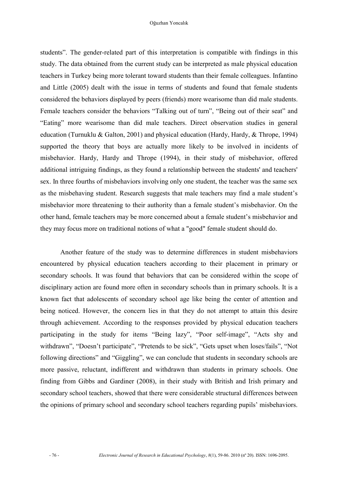#### Oğuzhan Yoncalık

students". The gender-related part of this interpretation is compatible with findings in this study. The data obtained from the current study can be interpreted as male physical education teachers in Turkey being more tolerant toward students than their female colleagues. Infantino and Little (2005) dealt with the issue in terms of students and found that female students considered the behaviors displayed by peers (friends) more wearisome than did male students. Female teachers consider the behaviors "Talking out of turn", "Being out of their seat" and "Eating" more wearisome than did male teachers. Direct observation studies in general education (Turnuklu & Galton, 2001) and physical education (Hardy, Hardy, & Thrope, 1994) supported the theory that boys are actually more likely to be involved in incidents of misbehavior. Hardy, Hardy and Thrope (1994), in their study of misbehavior, offered additional intriguing findings, as they found a relationship between the students' and teachers' sex. In three fourths of misbehaviors involving only one student, the teacher was the same sex as the misbehaving student. Research suggests that male teachers may find a male student's misbehavior more threatening to their authority than a female student's misbehavior. On the other hand, female teachers may be more concerned about a female student's misbehavior and they may focus more on traditional notions of what a "good" female student should do.

Another feature of the study was to determine differences in student misbehaviors encountered by physical education teachers according to their placement in primary or secondary schools. It was found that behaviors that can be considered within the scope of disciplinary action are found more often in secondary schools than in primary schools. It is a known fact that adolescents of secondary school age like being the center of attention and being noticed. However, the concern lies in that they do not attempt to attain this desire through achievement. According to the responses provided by physical education teachers participating in the study for items "Being lazy", "Poor self-image", "Acts shy and withdrawn", "Doesn't participate", "Pretends to be sick", "Gets upset when loses/fails", "Not following directions" and "Giggling", we can conclude that students in secondary schools are more passive, reluctant, indifferent and withdrawn than students in primary schools. One finding from Gibbs and Gardiner (2008), in their study with British and Irish primary and secondary school teachers, showed that there were considerable structural differences between the opinions of primary school and secondary school teachers regarding pupils' misbehaviors.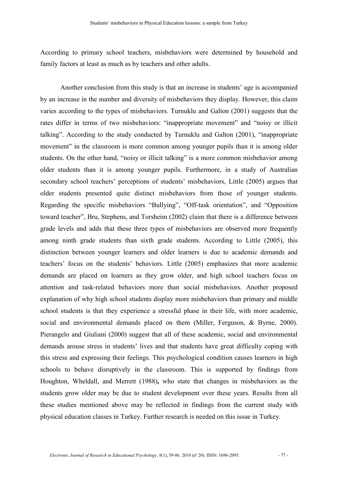According to primary school teachers, misbehaviors were determined by household and family factors at least as much as by teachers and other adults.

Another conclusion from this study is that an increase in students' age is accompanied by an increase in the number and diversity of misbehaviors they display. However, this claim varies according to the types of misbehaviors. Turnuklu and Galton (2001) suggests that the rates differ in terms of two misbehaviors: "inappropriate movement" and "noisy or illicit talking". According to the study conducted by Turnuklu and Galton (2001), "inappropriate movement" in the classroom is more common among younger pupils than it is among older students. On the other hand, "noisy or illicit talking" is a more common misbehavior among older students than it is among younger pupils. Furthermore, in a study of Australian secondary school teachers' perceptions of students' misbehaviors, Little (2005) argues that older students presented quite distinct misbehaviors from those of younger students. Regarding the specific misbehaviors "Bullying", "Off-task orientation", and "Opposition toward teacher", Bru, Stephens, and Torsheim (2002) claim that there is a difference between grade levels and adds that these three types of misbehaviors are observed more frequently among ninth grade students than sixth grade students. According to Little (2005), this distinction between younger learners and older learners is due to academic demands and teachers' focus on the students' behaviors. Little (2005) emphasizes that more academic demands are placed on learners as they grow older, and high school teachers focus on attention and task-related behaviors more than social misbehaviors. Another proposed explanation of why high school students display more misbehaviors than primary and middle school students is that they experience a stressful phase in their life, with more academic, social and environmental demands placed on them (Miller, Ferguson, & Byrne, 2000). Pierangelo and Giuliani (2000) suggest that all of these academic, social and environmental demands arouse stress in students' lives and that students have great difficulty coping with this stress and expressing their feelings. This psychological condition causes learners in high schools to behave disruptively in the classroom. This is supported by findings from Houghton, Wheldall, and Merrett (1988)**,** who state that changes in misbehaviors as the students grow older may be due to student development over these years. Results from all these studies mentioned above may be reflected in findings from the current study with physical education classes in Turkey. Further research is needed on this issue in Turkey.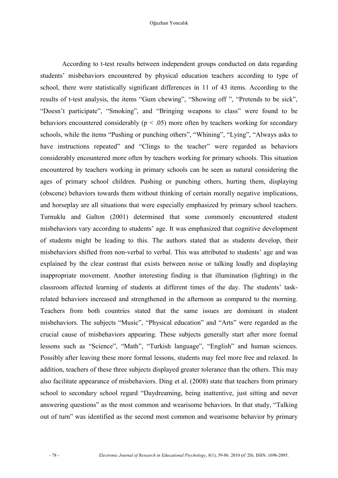According to t-test results between independent groups conducted on data regarding students' misbehaviors encountered by physical education teachers according to type of school, there were statistically significant differences in 11 of 43 items. According to the results of t-test analysis, the items "Gum chewing", "Showing off ", "Pretends to be sick", "Doesn't participate", "Smoking", and "Bringing weapons to class" were found to be behaviors encountered considerably ( $p < .05$ ) more often by teachers working for secondary schools, while the items "Pushing or punching others", "Whining", "Lying", "Always asks to have instructions repeated" and "Clings to the teacher" were regarded as behaviors considerably encountered more often by teachers working for primary schools. This situation encountered by teachers working in primary schools can be seen as natural considering the ages of primary school children. Pushing or punching others, hurting them, displaying (obscene) behaviors towards them without thinking of certain morally negative implications, and horseplay are all situations that were especially emphasized by primary school teachers. Turnuklu and Galton (2001) determined that some commonly encountered student misbehaviors vary according to students' age. It was emphasized that cognitive development of students might be leading to this. The authors stated that as students develop, their misbehaviors shifted from non-verbal to verbal. This was attributed to students' age and was explained by the clear contrast that exists between noise or talking loudly and displaying inappropriate movement. Another interesting finding is that illumination (lighting) in the classroom affected learning of students at different times of the day. The students' taskrelated behaviors increased and strengthened in the afternoon as compared to the morning. Teachers from both countries stated that the same issues are dominant in student misbehaviors. The subjects "Music", "Physical education" and "Arts" were regarded as the crucial cause of misbehaviors appearing. These subjects generally start after more formal lessons such as "Science", "Math", "Turkish language", "English" and human sciences. Possibly after leaving these more formal lessons, students may feel more free and relaxed. In addition, teachers of these three subjects displayed greater tolerance than the others. This may also facilitate appearance of misbehaviors. Ding et al. (2008) state that teachers from primary school to secondary school regard "Daydreaming, being inattentive, just sitting and never answering questions" as the most common and wearisome behaviors. In that study, "Talking out of turn" was identified as the second most common and wearisome behavior by primary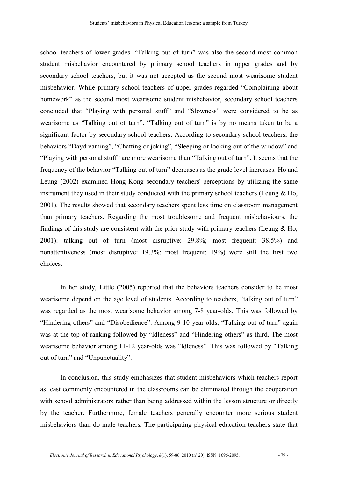school teachers of lower grades. "Talking out of turn" was also the second most common student misbehavior encountered by primary school teachers in upper grades and by secondary school teachers, but it was not accepted as the second most wearisome student misbehavior. While primary school teachers of upper grades regarded "Complaining about homework" as the second most wearisome student misbehavior, secondary school teachers concluded that "Playing with personal stuff" and "Slowness" were considered to be as wearisome as "Talking out of turn". "Talking out of turn" is by no means taken to be a significant factor by secondary school teachers. According to secondary school teachers, the behaviors "Daydreaming", "Chatting or joking", "Sleeping or looking out of the window" and "Playing with personal stuff" are more wearisome than "Talking out of turn". It seems that the frequency of the behavior "Talking out of turn" decreases as the grade level increases. Ho and Leung (2002) examined Hong Kong secondary teachers' perceptions by utilizing the same instrument they used in their study conducted with the primary school teachers (Leung & Ho, 2001). The results showed that secondary teachers spent less time on classroom management than primary teachers. Regarding the most troublesome and frequent misbehaviours, the findings of this study are consistent with the prior study with primary teachers (Leung  $\&$  Ho, 2001): talking out of turn (most disruptive: 29.8%; most frequent: 38.5%) and nonattentiveness (most disruptive: 19.3%; most frequent: 19%) were still the first two choices.

In her study, Little (2005) reported that the behaviors teachers consider to be most wearisome depend on the age level of students. According to teachers, "talking out of turn" was regarded as the most wearisome behavior among 7-8 year-olds. This was followed by "Hindering others" and "Disobedience". Among 9-10 year-olds, "Talking out of turn" again was at the top of ranking followed by "Idleness" and "Hindering others" as third. The most wearisome behavior among 11-12 year-olds was "Idleness". This was followed by "Talking out of turn" and "Unpunctuality".

In conclusion, this study emphasizes that student misbehaviors which teachers report as least commonly encountered in the classrooms can be eliminated through the cooperation with school administrators rather than being addressed within the lesson structure or directly by the teacher. Furthermore, female teachers generally encounter more serious student misbehaviors than do male teachers. The participating physical education teachers state that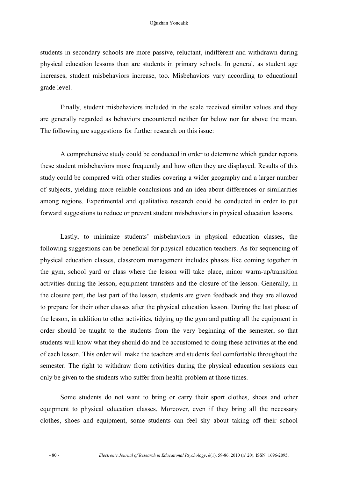students in secondary schools are more passive, reluctant, indifferent and withdrawn during physical education lessons than are students in primary schools. In general, as student age increases, student misbehaviors increase, too. Misbehaviors vary according to educational grade level.

Finally, student misbehaviors included in the scale received similar values and they are generally regarded as behaviors encountered neither far below nor far above the mean. The following are suggestions for further research on this issue:

A comprehensive study could be conducted in order to determine which gender reports these student misbehaviors more frequently and how often they are displayed. Results of this study could be compared with other studies covering a wider geography and a larger number of subjects, yielding more reliable conclusions and an idea about differences or similarities among regions. Experimental and qualitative research could be conducted in order to put forward suggestions to reduce or prevent student misbehaviors in physical education lessons.

Lastly, to minimize students' misbehaviors in physical education classes, the following suggestions can be beneficial for physical education teachers. As for sequencing of physical education classes, classroom management includes phases like coming together in the gym, school yard or class where the lesson will take place, minor warm-up/transition activities during the lesson, equipment transfers and the closure of the lesson. Generally, in the closure part, the last part of the lesson, students are given feedback and they are allowed to prepare for their other classes after the physical education lesson. During the last phase of the lesson, in addition to other activities, tidying up the gym and putting all the equipment in order should be taught to the students from the very beginning of the semester, so that students will know what they should do and be accustomed to doing these activities at the end of each lesson. This order will make the teachers and students feel comfortable throughout the semester. The right to withdraw from activities during the physical education sessions can only be given to the students who suffer from health problem at those times.

Some students do not want to bring or carry their sport clothes, shoes and other equipment to physical education classes. Moreover, even if they bring all the necessary clothes, shoes and equipment, some students can feel shy about taking off their school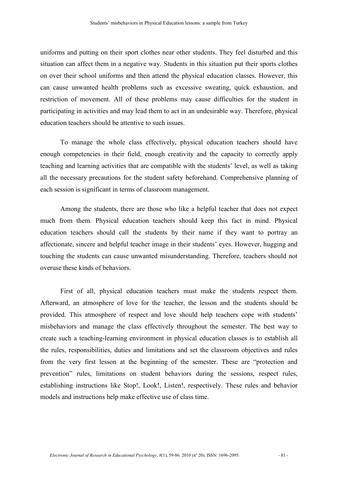uniforms and putting on their sport clothes near other students. They feel disturbed and this situation can affect them in a negative way. Students in this situation put their sports clothes on over their school uniforms and then attend the physical education classes. However, this can cause unwanted health problems such as excessive sweating, quick exhaustion, and restriction of movement. All of these problems may cause difficulties for the student in participating in activities and may lead them to act in an undesirable way. Therefore, physical education teachers should be attentive to such issues.

To manage the whole class effectively, physical education teachers should have enough competencies in their field, enough creativity and the capacity to correctly apply teaching and learning activities that are compatible with the students' level, as well as taking all the necessary precautions for the student safety beforehand. Comprehensive planning of each session is significant in terms of classroom management.

Among the students, there are those who like a helpful teacher that does not expect much from them. Physical education teachers should keep this fact in mind. Physical education teachers should call the students by their name if they want to portray an affectionate, sincere and helpful teacher image in their students' eyes. However, hugging and touching the students can cause unwanted misunderstanding. Therefore, teachers should not overuse these kinds of behaviors.

First of all, physical education teachers must make the students respect them. Afterward, an atmosphere of love for the teacher, the lesson and the students should be provided. This atmosphere of respect and love should help teachers cope with students' misbehaviors and manage the class effectively throughout the semester. The best way to create such a teaching-learning environment in physical education classes is to establish all the rules, responsibilities, duties and limitations and set the classroom objectives and rules from the very first lesson at the beginning of the semester. These are "protection and prevention" rules, limitations on student behaviors during the sessions, respect rules, establishing instructions like Stop!, Look!, Listen!, respectively. These rules and behavior models and instructions help make effective use of class time.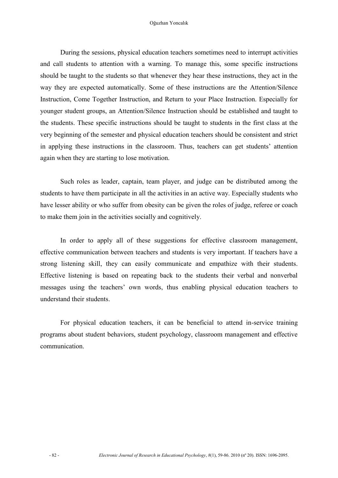During the sessions, physical education teachers sometimes need to interrupt activities and call students to attention with a warning. To manage this, some specific instructions should be taught to the students so that whenever they hear these instructions, they act in the way they are expected automatically. Some of these instructions are the Attention/Silence Instruction, Come Together Instruction, and Return to your Place Instruction. Especially for younger student groups, an Attention/Silence Instruction should be established and taught to the students. These specific instructions should be taught to students in the first class at the very beginning of the semester and physical education teachers should be consistent and strict in applying these instructions in the classroom. Thus, teachers can get students' attention again when they are starting to lose motivation.

Such roles as leader, captain, team player, and judge can be distributed among the students to have them participate in all the activities in an active way. Especially students who have lesser ability or who suffer from obesity can be given the roles of judge, referee or coach to make them join in the activities socially and cognitively.

In order to apply all of these suggestions for effective classroom management, effective communication between teachers and students is very important. If teachers have a strong listening skill, they can easily communicate and empathize with their students. Effective listening is based on repeating back to the students their verbal and nonverbal messages using the teachers' own words, thus enabling physical education teachers to understand their students.

For physical education teachers, it can be beneficial to attend in-service training programs about student behaviors, student psychology, classroom management and effective communication.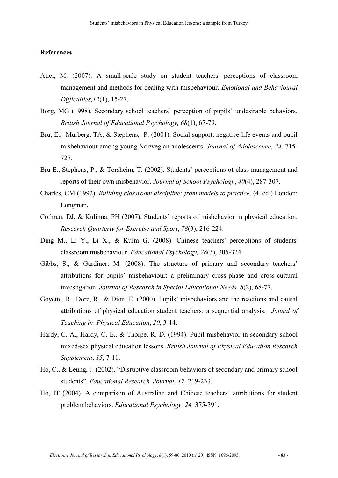#### **References**

- Atıcı, M. (2007). A small-scale study on student teachers' perceptions of classroom management and methods for dealing with misbehaviour. *Emotional and Behavioural Difficulties,12*(1), 15-27.
- Borg, MG (1998). Secondary school teachers' perception of pupils' undesirable behaviors. *British Journal of Educational Psychology, 68*(1), 67-79.
- Bru, E., Murberg, TA, & Stephens, P. (2001). Social support, negative life events and pupil misbehaviour among young Norwegian adolescents. *Journal of Adolescence*, *24*, 715- 727.
- Bru E., Stephens, P., & Torsheim, T. (2002). Students' perceptions of class management and reports of their own misbehavior. *Journal of School Psychology*, *40*(4), 287-307.
- Charles, CM (1992). *Building classroom discipline: from models to practice*. (4. ed.) London: Longman.
- Cothran, DJ, & Kulinna, PH (2007). Students' reports of misbehavior in physical education. *Research Quarterly for Exercise and Sport*, *78*(3), 216-224.
- Ding M., Li Y., Li X., & Kulm G. (2008). Chinese teachers' perceptions of students' classroom misbehaviour. *Educational Psychology, 28*(3), 305-324.
- Gibbs, S., & Gardiner, M. (2008). The structure of primary and secondary teachers' attributions for pupils' misbehaviour: a preliminary cross-phase and cross-cultural investigation. *Journal of Research in Special Educational Needs, 8*(2), 68-77.
- Goyette, R., Dore, R., & Dion, E. (2000). Pupils' misbehaviors and the reactions and causal attributions of physical education student teachers: a sequential analysis. *Jounal of Teaching in Physical Education*, *20*, 3-14.
- Hardy, C. A., Hardy, C. E., & Thorpe, R. D. (1994). Pupil misbehavior in secondary school mixed-sex physical education lessons. *British Journal of Physical Education Research Supplement*, *15*, 7-11.
- Ho, C., & Leung, J. (2002). "Disruptive classroom behaviors of secondary and primary school students". *Educational Research Journal, 17,* 219-233.
- Ho, IT (2004). A comparison of Australian and Chinese teachers' attributions for student problem behaviors. *Educational Psychology, 24,* 375-391.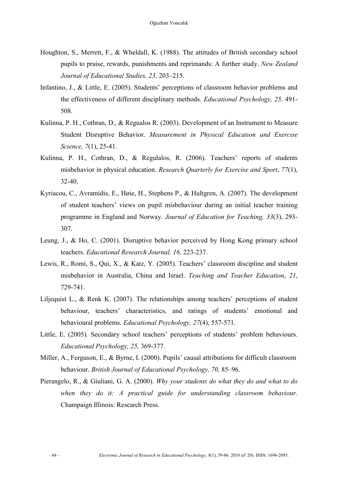- Houghton, S., Merrett, F., & Wheldall, K. (1988). The attitudes of British secondary school pupils to praise, rewards, punishments and reprimands: A further study. *New Zealand Journal of Educational Studies, 23,* 203–215.
- Infantino, J., & Little, E. (2005). Students' perceptions of classroom behavior problems and the effectiveness of different disciplinary methods. *Educational Psychology, 25,* 491- 508.
- Kulinna, P. H., Cothran, D., & Regualos R. (2003). Development of an Instrument to Measure Student Disruptive Behavior. *Measurement in Physıcal Educatıon and Exercıse Scıence, 7*(1), 25-41.
- Kulinna, P. H., Cothran, D., & Regulalos, R. (2006). Teachers' reports of students misbehavior in physical education. *Research Quarterly for Exercise and Sport*, *77*(1), 32-40.
- Kyriacou, C., Avramidis, E., Høie, H., Stephens P., & Hultgren, A. (2007). The development of student teachers' views on pupil misbehaviour during an initial teacher training programme in England and Norway. *Journal of Education for Teaching, 33*(3), 293- 307.
- Leung, J., & Ho, C. (2001). Disruptive behavior perceived by Hong Kong primary school teachers. *Educational Research Journal, 16,* 223-237.
- Lewis, R., Romi, S., Qui, X., & Katz, Y. (2005). Teachers' classroom discipline and student misbehavior in Australia, China and Israel. *Teaching and Teacher Education*, *21*, 729-741.
- Liljequist L., & Renk K. (2007). The relationships among teachers' perceptions of student behaviour, teachers' characteristics, and ratings of students' emotional and behavioural problems. *Educational Psychology, 27*(4), 557-571.
- Little, E. (2005). Secondary school teachers' perceptions of students' problem behaviours. *Educational Psychology, 25,* 369-377.
- Miller, A., Ferguson, E., & Byrne, I. (2000). Pupils' causal attributions for difficult classroom behaviour. *British Journal of Educational Psychology, 70,* 85–96.
- Pierangelo, R., & Giuliani, G. A. (2000). *Why your students do what they do and what to do*  when they do it: A practical guide for understanding classroom behaviour. Champaign Illinois: Research Press.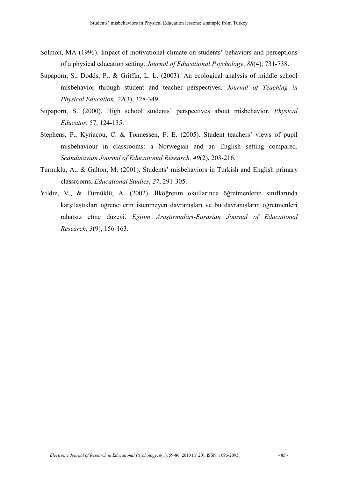- Solmon, MA (1996). İmpact of motivational climate on students' behaviors and perceptions of a physical education setting. *Journal of Educational Psychology*, *88*(4), 731-738.
- Supaporn, S., Dodds, P., & Griffin, L. L. (2003). An ecological analysis of middle school misbehavior through student and teacher perspectives. *Journal of Teaching in Physical Education*, *22*(3), 328-349.
- Supaporn, S. (2000). High school students' perspectives about misbehavior. *Physical Educator*, 57, 124-135.
- Stephens, P., Kyriacou, C. & Tønnessen, F. E. (2005). Student teachers' views of pupil misbehaviour in classrooms: a Norwegian and an English setting compared. *Scandinavian Journal of Educational Research, 49*(2), 203-216.
- Turnuklu, A., & Galton, M. (2001). Students' misbehaviors in Turkish and English primary classrooms. *Educational Studies*, *27*, 291-305.
- Yıldız, V., & Türnüklü, A. (2002). İlköğretim okullarında öğretmenlerin sınıflarında karşılaştıkları öğrencilerin istenmeyen davranışları ve bu davranışların öğretmenleri rahatsız etme düzeyi. *Eğitim Araştırmaları-Eurasian Journal of Educational Research*, *3*(9), 156-163.